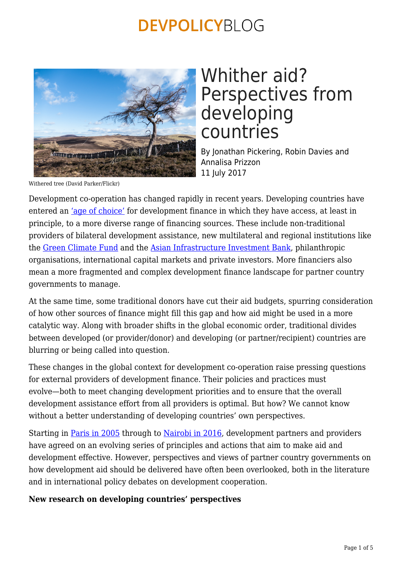

## Whither aid? Perspectives from developing countries

By Jonathan Pickering, Robin Davies and Annalisa Prizzon 11 July 2017

Withered tree (David Parker/Flickr)

Development co-operation has changed rapidly in recent years. Developing countries have entered an ['age of choice'](https://www.odi.org/publications/10390-age-choice-development-finance-evidence-country-case-studies) for development finance in which they have access, at least in principle, to a more diverse range of financing sources. These include non-traditional providers of bilateral development assistance, new multilateral and regional institutions like the [Green Climate Fund](http://www.greenclimate.fund/home) and the [Asian Infrastructure Investment Bank,](https://www.aiib.org/en/index.html) philanthropic organisations, international capital markets and private investors. More financiers also mean a more fragmented and complex development finance landscape for partner country governments to manage.

At the same time, some traditional donors have cut their aid budgets, spurring consideration of how other sources of finance might fill this gap and how aid might be used in a more catalytic way. Along with broader shifts in the global economic order, traditional divides between developed (or provider/donor) and developing (or partner/recipient) countries are blurring or being called into question.

These changes in the global context for development co-operation raise pressing questions for external providers of development finance. Their policies and practices must evolve—both to meet changing development priorities and to ensure that the overall development assistance effort from all providers is optimal. But how? We cannot know without a better understanding of developing countries' own perspectives.

Starting in [Paris in 2005](http://www.oecd.org/dac/effectiveness/parisdeclarationandaccraagendaforaction.htm) through to [Nairobi in 2016](http://effectivecooperation.org/events/2016-high-level-meeting/), development partners and providers have agreed on an evolving series of principles and actions that aim to make aid and development effective. However, perspectives and views of partner country governments on how development aid should be delivered have often been overlooked, both in the literature and in international policy debates on development cooperation.

#### **New research on developing countries' perspectives**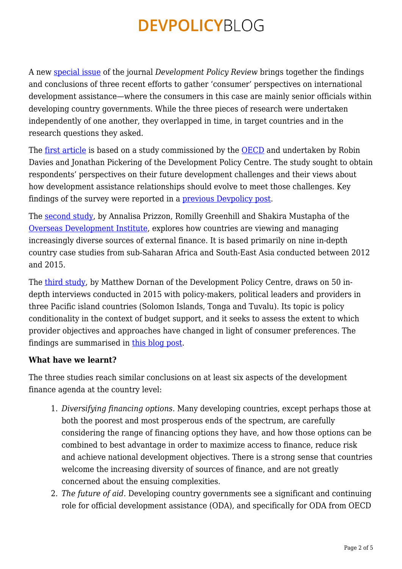A new [special issue](http://onlinelibrary.wiley.com/doi/10.1111/dpr.2017.35.issue-S1/issuetoc) of the journal *Development Policy Review* brings together the findings and conclusions of three recent efforts to gather 'consumer' perspectives on international development assistance—where the consumers in this case are mainly senior officials within developing country governments. While the three pieces of research were undertaken independently of one another, they overlapped in time, in target countries and in the research questions they asked.

The <u>first article</u> is based on a study commissioned by the [OECD](http://www.oecd.org/dac/) and undertaken by Robin Davies and Jonathan Pickering of the Development Policy Centre. The study sought to obtain respondents' perspectives on their future development challenges and their views about how development assistance relationships should evolve to meet those challenges. Key findings of the survey were reported in a [previous Devpolicy post](https://devpolicy.org/how-should-aid-agencies-evolve-views-from-developing-countries-20150323/).

The [second study](http://onlinelibrary.wiley.com/doi/10.1111/dpr.12268/full), by Annalisa Prizzon, Romilly Greenhill and Shakira Mustapha of the [Overseas Development Institute,](https://www.odi.org/) explores how countries are viewing and managing increasingly diverse sources of external finance. It is based primarily on nine in-depth country case studies from sub-Saharan Africa and South-East Asia conducted between 2012 and 2015.

The [third study,](http://onlinelibrary.wiley.com/doi/10.1111/dpr.12245/full) by Matthew Dornan of the Development Policy Centre, draws on 50 indepth interviews conducted in 2015 with policy-makers, political leaders and providers in three Pacific island countries (Solomon Islands, Tonga and Tuvalu). Its topic is policy conditionality in the context of budget support, and it seeks to assess the extent to which provider objectives and approaches have changed in light of consumer preferences. The findings are summarised in [this blog post.](https://devpolicy.org/new-conditionality-20170309/)

### **What have we learnt?**

The three studies reach similar conclusions on at least six aspects of the development finance agenda at the country level:

- 1. *Diversifying financing options.* Many developing countries, except perhaps those at both the poorest and most prosperous ends of the spectrum, are carefully considering the range of financing options they have, and how those options can be combined to best advantage in order to maximize access to finance, reduce risk and achieve national development objectives. There is a strong sense that countries welcome the increasing diversity of sources of finance, and are not greatly concerned about the ensuing complexities.
- 2. *The future of aid.* Developing country governments see a significant and continuing role for official development assistance (ODA), and specifically for ODA from OECD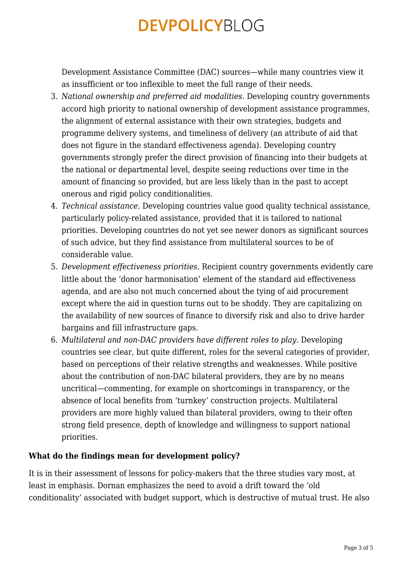Development Assistance Committee (DAC) sources—while many countries view it as insufficient or too inflexible to meet the full range of their needs.

- 3. *National ownership and preferred aid modalities.* Developing country governments accord high priority to national ownership of development assistance programmes, the alignment of external assistance with their own strategies, budgets and programme delivery systems, and timeliness of delivery (an attribute of aid that does not figure in the standard effectiveness agenda). Developing country governments strongly prefer the direct provision of financing into their budgets at the national or departmental level, despite seeing reductions over time in the amount of financing so provided, but are less likely than in the past to accept onerous and rigid policy conditionalities.
- 4. *Technical assistance.* Developing countries value good quality technical assistance, particularly policy-related assistance, provided that it is tailored to national priorities. Developing countries do not yet see newer donors as significant sources of such advice, but they find assistance from multilateral sources to be of considerable value.
- 5. *Development effectiveness priorities.* Recipient country governments evidently care little about the 'donor harmonisation' element of the standard aid effectiveness agenda, and are also not much concerned about the tying of aid procurement except where the aid in question turns out to be shoddy. They are capitalizing on the availability of new sources of finance to diversify risk and also to drive harder bargains and fill infrastructure gaps.
- 6. *Multilateral and non-DAC providers have different roles to play.* Developing countries see clear, but quite different, roles for the several categories of provider, based on perceptions of their relative strengths and weaknesses. While positive about the contribution of non-DAC bilateral providers, they are by no means uncritical—commenting, for example on shortcomings in transparency, or the absence of local benefits from 'turnkey' construction projects. Multilateral providers are more highly valued than bilateral providers, owing to their often strong field presence, depth of knowledge and willingness to support national priorities.

### **What do the findings mean for development policy?**

It is in their assessment of lessons for policy-makers that the three studies vary most, at least in emphasis. Dornan emphasizes the need to avoid a drift toward the 'old conditionality' associated with budget support, which is destructive of mutual trust. He also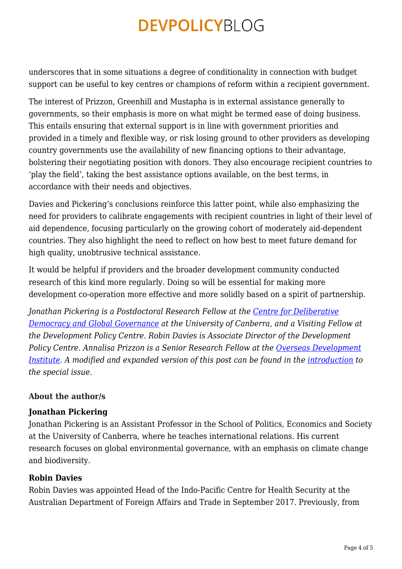underscores that in some situations a degree of conditionality in connection with budget support can be useful to key centres or champions of reform within a recipient government.

The interest of Prizzon, Greenhill and Mustapha is in external assistance generally to governments, so their emphasis is more on what might be termed ease of doing business. This entails ensuring that external support is in line with government priorities and provided in a timely and flexible way, or risk losing ground to other providers as developing country governments use the availability of new financing options to their advantage, bolstering their negotiating position with donors. They also encourage recipient countries to 'play the field', taking the best assistance options available, on the best terms, in accordance with their needs and objectives.

Davies and Pickering's conclusions reinforce this latter point, while also emphasizing the need for providers to calibrate engagements with recipient countries in light of their level of aid dependence, focusing particularly on the growing cohort of moderately aid-dependent countries. They also highlight the need to reflect on how best to meet future demand for high quality, unobtrusive technical assistance.

It would be helpful if providers and the broader development community conducted research of this kind more regularly. Doing so will be essential for making more development co-operation more effective and more solidly based on a spirit of partnership.

*Jonathan Pickering is a Postdoctoral Research Fellow at the [Centre for Deliberative](http://www.governanceinstitute.edu.au/centres/deliberative-democracy-and-global-governance) [Democracy and Global Governance](http://www.governanceinstitute.edu.au/centres/deliberative-democracy-and-global-governance) at the University of Canberra, and a Visiting Fellow at the Development Policy Centre. Robin Davies is Associate Director of the Development Policy Centre. Annalisa Prizzon is a Senior Research Fellow at the [Overseas Development](https://www.odi.org/experts/980-annalisa-prizzon) [Institute](https://www.odi.org/experts/980-annalisa-prizzon).* A modified and expanded version of this post can be found in the [introduction](http://onlinelibrary.wiley.com/doi/10.1111/dpr.12269/full) to *the special issue.*

### **About the author/s**

#### **Jonathan Pickering**

Jonathan Pickering is an Assistant Professor in the School of Politics, Economics and Society at the University of Canberra, where he teaches international relations. His current research focuses on global environmental governance, with an emphasis on climate change and biodiversity.

### **Robin Davies**

Robin Davies was appointed Head of the Indo-Pacific Centre for Health Security at the Australian Department of Foreign Affairs and Trade in September 2017. Previously, from